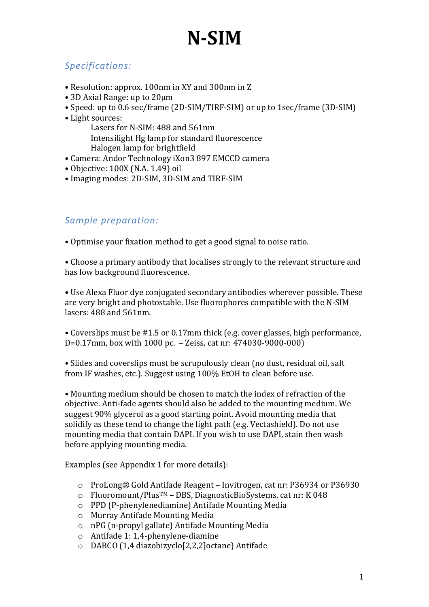### *Specifications:*

- Resolution: approx. 100nm in XY and 300nm in Z
- 3D Axial Range: up to 20µm
- Speed: up to 0.6 sec/frame (2D-SIM/TIRF-SIM) or up to 1sec/frame (3D-SIM)
- Light sources:
	- Lasers for N-SIM:  $488$  and  $561$ nm Intensilight Hg lamp for standard fluorescence Halogen lamp for brightfield
- Camera: Andor Technology iXon3 897 EMCCD camera
- Objective: 100X (N.A. 1.49) oil
- Imaging modes: 2D-SIM, 3D-SIM and TIRF-SIM

#### Sample preparation:

• Optimise your fixation method to get a good signal to noise ratio.

• Choose a primary antibody that localises strongly to the relevant structure and has low background fluorescence.

• Use Alexa Fluor dye conjugated secondary antibodies wherever possible. These are very bright and photostable. Use fluorophores compatible with the N-SIM lasers: 488 and 561nm.

• Coverslips must be #1.5 or 0.17mm thick (e.g. cover glasses, high performance, D=0.17mm, box with 1000 pc.  $-$  Zeiss, cat nr:  $474030-9000-000$ 

• Slides and coverslips must be scrupulously clean (no dust, residual oil, salt from IF washes, etc.). Suggest using 100% EtOH to clean before use.

• Mounting medium should be chosen to match the index of refraction of the objective. Anti-fade agents should also be added to the mounting medium. We suggest 90% glycerol as a good starting point. Avoid mounting media that solidify as these tend to change the light path (e.g. Vectashield). Do not use mounting media that contain DAPI. If you wish to use DAPI, stain then wash before applying mounting media.

Examples (see Appendix 1 for more details):

- o ProLong® Gold Antifade Reagent Invitrogen, cat nr: P36934 or P36930
- $\circ$  Fluoromount/Plus<sup>TM</sup> DBS, DiagnosticBioSystems, cat nr: K 048
- $\circ$  PPD (P-phenylenediamine) Antifade Mounting Media
- o Murray Antifade Mounting Media
- o nPG (n-propyl gallate) Antifade Mounting Media
- $\circ$  Antifade 1: 1,4-phenylene-diamine
- o DABCO (1,4 diazobizyclo[2,2,2]octane) Antifade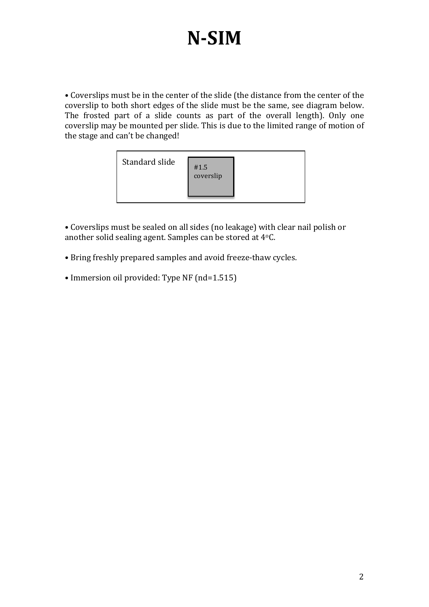• Coverslips must be in the center of the slide (the distance from the center of the coverslip to both short edges of the slide must be the same, see diagram below. The frosted part of a slide counts as part of the overall length). Only one coverslip may be mounted per slide. This is due to the limited range of motion of the stage and can't be changed!



• Coverslips must be sealed on all sides (no leakage) with clear nail polish or another solid sealing agent. Samples can be stored at  $4^{\circ}$ C.

- Bring freshly prepared samples and avoid freeze-thaw cycles.
- Immersion oil provided: Type NF (nd=1.515)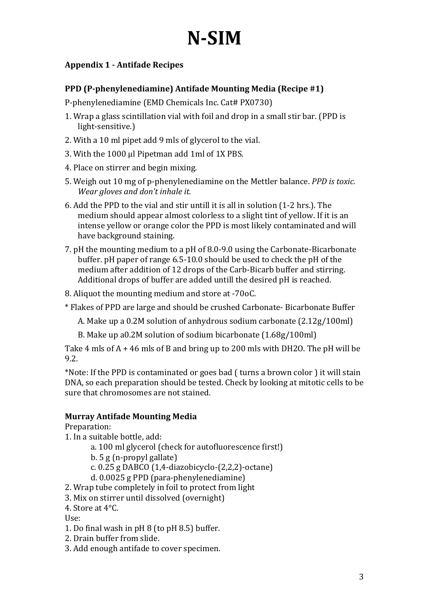### **Appendix 1 - Antifade Recipes**

#### **PPD (P-phenylenediamine) Antifade Mounting Media (Recipe #1)**

P-phenylenediamine (EMD Chemicals Inc. Cat# PX0730)

- 1. Wrap a glass scintillation vial with foil and drop in a small stir bar. (PPD is light-sensitive.)
- 2. With a 10 ml pipet add 9 mls of glycerol to the vial.
- 3. With the 1000 µl Pipetman add 1ml of 1X PBS.
- 4. Place on stirrer and begin mixing.
- 5. Weigh out 10 mg of p-phenylenediamine on the Mettler balance. *PPD* is toxic. *Wear gloves and don't inhale it.*
- 6. Add the PPD to the vial and stir untill it is all in solution (1-2 hrs.). The medium should appear almost colorless to a slight tint of yellow. If it is an intense yellow or orange color the PPD is most likely contaminated and will have background staining.
- 7. pH the mounting medium to a pH of 8.0-9.0 using the Carbonate-Bicarbonate buffer.  $pH$  paper of range  $6.5$ -10.0 should be used to check the  $pH$  of the medium after addition of 12 drops of the Carb-Bicarb buffer and stirring. Additional drops of buffer are added untill the desired pH is reached.
- 8. Aliquot the mounting medium and store at -70oC.
- \* Flakes of PPD are large and should be crushed Carbonate- Bicarbonate Buffer
	- A. Make up a  $0.2M$  solution of anhydrous sodium carbonate  $(2.12g/100m)$
	- B. Make up a0.2M solution of sodium bicarbonate (1.68g/100ml)

Take 4 mls of  $A + 46$  mls of B and bring up to 200 mls with DH2O. The pH will be 9.2. 

\*Note: If the PPD is contaminated or goes bad ( turns a brown color ) it will stain DNA, so each preparation should be tested. Check by looking at mitotic cells to be sure that chromosomes are not stained.

#### **Murray Antifade Mounting Media**

Preparation: 

- 1. In a suitable bottle, add:
	- a. 100 ml glycerol (check for autofluorescence first!)
	- $b. 5 g (n-propyl gallate)$
	- c.  $0.25$  g DABCO  $(1,4$ -diazobicyclo- $(2,2,2)$ -octane)
	- d. 0.0025 g PPD (para-phenylenediamine)
- 2. Wrap tube completely in foil to protect from light
- 3. Mix on stirrer until dissolved (overnight)
- 4. Store at  $4^{\circ}$ C.

Use: 

- 1. Do final wash in pH 8 (to pH 8.5) buffer.
- 2. Drain buffer from slide.
- 3. Add enough antifade to cover specimen.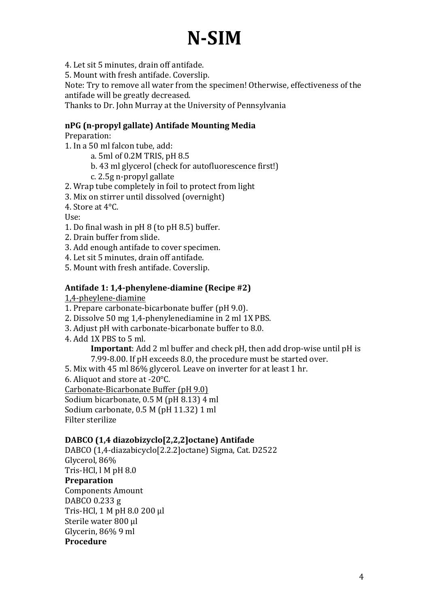4. Let sit 5 minutes, drain off antifade.

5. Mount with fresh antifade. Coverslip.

Note: Try to remove all water from the specimen! Otherwise, effectiveness of the antifade will be greatly decreased.

Thanks to Dr. John Murray at the University of Pennsylvania

#### **nPG (n-propyl gallate) Antifade Mounting Media**

Preparation: 

1. In a 50 ml falcon tube, add:

- a. 5ml of 0.2M TRIS, pH 8.5
- b. 43 ml glycerol (check for autofluorescence first!)
- c. 2.5g n-propyl gallate
- 2. Wrap tube completely in foil to protect from light
- 3. Mix on stirrer until dissolved (overnight)
- 4. Store at  $4^{\circ}$ C.

Use: 

- 1. Do final wash in  $pH_8$  (to  $pH_8.5$ ) buffer.
- 2. Drain buffer from slide.
- 3. Add enough antifade to cover specimen.
- 4. Let sit 5 minutes, drain off antifade.
- 5. Mount with fresh antifade. Coverslip.

#### Antifade 1: 1,4-phenylene-diamine (Recipe #2)

1,4-pheylene-diamine 

- 1. Prepare carbonate-bicarbonate buffer (pH 9.0).
- 2. Dissolve 50 mg 1,4-phenylenediamine in 2 ml 1X PBS.
- 3. Adjust pH with carbonate-bicarbonate buffer to 8.0.
- 4. Add 1X PBS to 5 ml.

**Important:** Add 2 ml buffer and check pH, then add drop-wise until pH is 7.99-8.00. If pH exceeds 8.0, the procedure must be started over.

5. Mix with 45 ml 86% glycerol. Leave on inverter for at least 1 hr.

6. Aliquot and store at -20 $\degree$ C.

Carbonate-Bicarbonate Buffer (pH 9.0)

Sodium bicarbonate, 0.5 M (pH 8.13) 4 ml Sodium carbonate, 0.5 M (pH 11.32) 1 ml

Filter sterilize

#### **DABCO (1,4 diazobizyclo[2,2,2]octane) Antifade**

DABCO (1,4-diazabicyclo[2.2.2]octane) Sigma, Cat. D2522 Glycerol, 86% Tris-HCl, l M pH 8.0 **Preparation**  Components Amount DABCO 0.233 g Tris-HCl, 1 M pH 8.0 200 µl Sterile water 800 μl Glycerin, 86% 9 ml **Procedure**